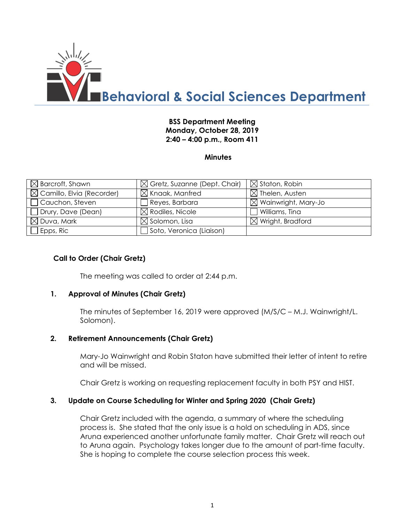

## **BSS Department Meeting Monday, October 28, 2019 2:40 – 4:00 p.m., Room 411**

**Minutes**

| $\boxtimes$ Barcroft, Shawn           | $\boxtimes$ Gretz, Suzanne (Dept. Chair) | $\boxtimes$ Staton, Robin       |
|---------------------------------------|------------------------------------------|---------------------------------|
| $\boxtimes$ Camillo, Elvia (Recorder) | $\boxtimes$ Knaak, Manfred               | $\boxtimes$ Thelen, Austen      |
| Cauchon, Steven                       | $\Box$ Reyes, Barbara                    | $\boxtimes$ Wainwright, Mary-Jo |
| Drury, Dave (Dean)                    | $\boxtimes$ Rodiles, Nicole              | Williams, Tina                  |
| $\boxtimes$ Duva, Mark                | $\boxtimes$ Solomon, Lisa                | $\boxtimes$ Wright, Bradford    |
| $E$ pps, Ric                          | Soto, Veronica (Liaison)                 |                                 |

### **Call to Order (Chair Gretz)**

The meeting was called to order at 2:44 p.m.

#### **1. Approval of Minutes (Chair Gretz)**

The minutes of September 16, 2019 were approved (M/S/C – M.J. Wainwright/L. Solomon).

#### **2. Retirement Announcements (Chair Gretz)**

Mary-Jo Wainwright and Robin Staton have submitted their letter of intent to retire and will be missed.

Chair Gretz is working on requesting replacement faculty in both PSY and HIST.

#### **3. Update on Course Scheduling for Winter and Spring 2020 (Chair Gretz)**

Chair Gretz included with the agenda, a summary of where the scheduling process is. She stated that the only issue is a hold on scheduling in ADS, since Aruna experienced another unfortunate family matter. Chair Gretz will reach out to Aruna again. Psychology takes longer due to the amount of part-time faculty. She is hoping to complete the course selection process this week.